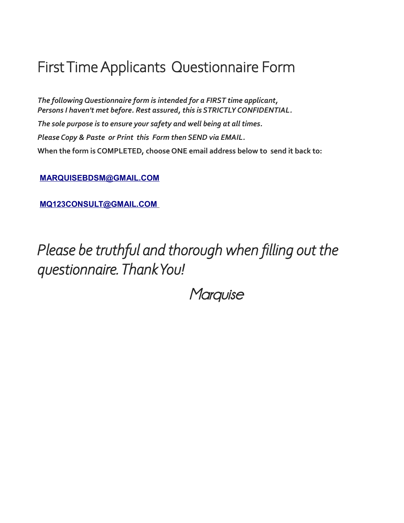# First Time Applicants Questionnaire Form

*The following Questionnaire form is intended for a FIRST time applicant, Persons I haven't met before. Rest assured, this is STRICTLY CONFIDENTIAL. The sole purpose is to ensure your safety and well being at all times. Please Copy & Paste or Print this Form then SEND via EMAIL.* **When the form is COMPLETED, choose ONE email address below to send it back to:**

**[MARQUISEBDSM@GMAIL.COM](mailto:MARQUISEBDSM@GMAIL.COM)**

 **[MQ123CONSULT@GMAIL.COM](mailto:MQ123CONSULT@GMAIL.COM)**

*Please be truthful and thorough when filling out the questionnaire. Thank You!*

**Marquise**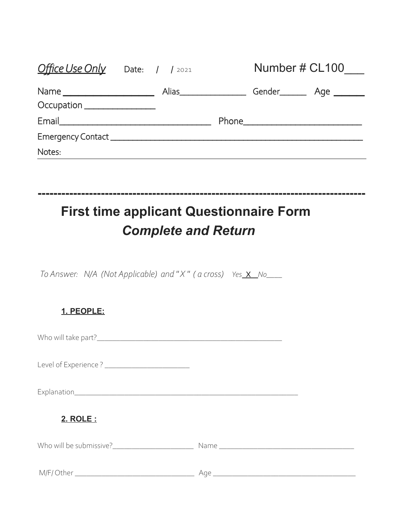| <b>Office Use Only</b> Date: 1 1 2021                                                                         |  |                            |                               | Number # CL100 |
|---------------------------------------------------------------------------------------------------------------|--|----------------------------|-------------------------------|----------------|
|                                                                                                               |  | Alias_____________________ | Gender__________ Age ________ |                |
| Occupation _________________                                                                                  |  |                            |                               |                |
| Email and the contract of the contract of the contract of the contract of the contract of the contract of the |  |                            |                               |                |
|                                                                                                               |  |                            |                               |                |
| Notes:                                                                                                        |  |                            |                               |                |
|                                                                                                               |  |                            |                               |                |

**-----------------------------------------------------------------------------------**

# **First time applicant Questionnaire Form** *Complete and Return*

*To Answer: N/A (Not Applicable) and "X" ( a cross) Yes X No\_\_\_\_* 

| 1. PEOPLE:                                      |  |
|-------------------------------------------------|--|
|                                                 |  |
| Level of Experience ? _________________________ |  |
|                                                 |  |
| 2. ROLE:                                        |  |
|                                                 |  |
|                                                 |  |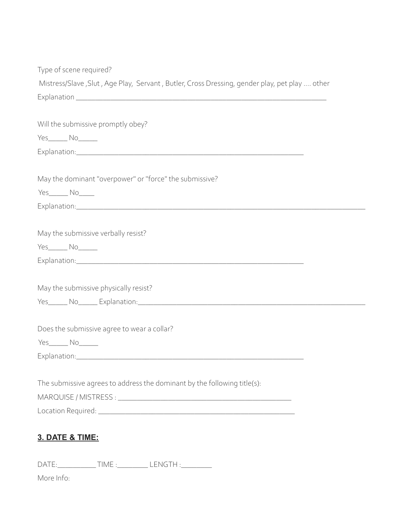| Type of scene required?                                                                       |
|-----------------------------------------------------------------------------------------------|
| Mistress/Slave, Slut, Age Play, Servant, Butler, Cross Dressing, gender play, pet play  other |
|                                                                                               |
|                                                                                               |
| Will the submissive promptly obey?                                                            |
| $Yes$ $No$                                                                                    |
|                                                                                               |
|                                                                                               |
| May the dominant "overpower" or "force" the submissive?                                       |
| Yes_______ No_____                                                                            |
|                                                                                               |
|                                                                                               |
| May the submissive verbally resist?                                                           |
| Yes_______ No______                                                                           |
|                                                                                               |
|                                                                                               |
| May the submissive physically resist?                                                         |
|                                                                                               |
|                                                                                               |
| Does the submissive agree to wear a collar?                                                   |
| Yes_______ No______                                                                           |
| Explanation:                                                                                  |
|                                                                                               |
| The submissive agrees to address the dominant by the following title(s):                      |
|                                                                                               |
|                                                                                               |
|                                                                                               |
| <b>3. DATE &amp; TIME:</b>                                                                    |
|                                                                                               |
| DATE:________________TIME :___________ LENGTH :___________                                    |

More Info: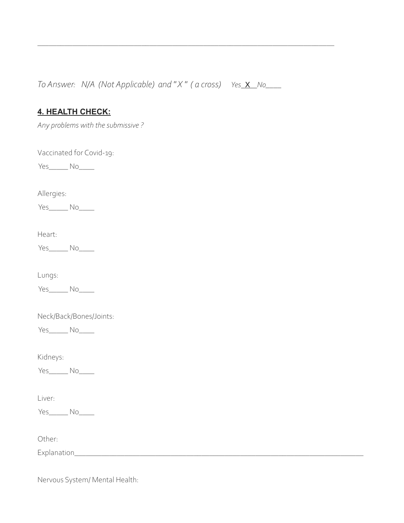*To Answer: N/A (Not Applicable) and "X" ( a cross) Yes* X No\_\_\_\_

\_\_\_\_\_\_\_\_\_\_\_\_\_\_\_\_\_\_\_\_\_\_\_\_\_\_\_\_\_\_\_\_\_\_\_\_\_\_\_\_\_\_\_\_\_\_\_\_\_\_\_\_\_\_\_\_\_\_\_\_\_\_\_\_\_\_\_\_\_\_\_\_\_\_\_\_\_

## **4. HEALTH CHECK:**

*Any problems with the submissive ?* 

Vaccinated for Covid-19:

Yes\_\_\_\_\_\_\_ No\_\_\_\_\_\_

Allergies:

Yes\_\_\_\_\_ No\_\_\_\_

Heart:

Yes\_\_\_\_\_\_ No\_\_\_\_\_

Lungs:

Yes\_\_\_\_\_\_\_ No\_\_\_\_\_

Neck/Back/Bones/Joints:

Yes\_\_\_\_\_\_ No\_\_\_\_\_

Kidneys:

Yes<sup>No</sup>

Liver:

Yes\_\_\_\_\_\_ No\_\_\_\_\_

Other:

Explanation\_\_\_\_\_\_\_\_\_\_\_\_\_\_\_\_\_\_\_\_\_\_\_\_\_\_\_\_\_\_\_\_\_\_\_\_\_\_\_\_\_\_\_\_\_\_\_\_\_\_\_\_\_\_\_\_\_\_\_\_\_\_\_\_\_\_\_\_\_\_\_\_\_\_\_

Nervous System/ Mental Health: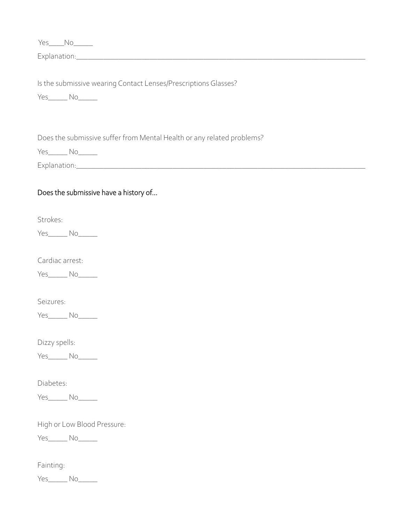| Yes____No_____                                                                         |
|----------------------------------------------------------------------------------------|
|                                                                                        |
| Is the submissive wearing Contact Lenses/Prescriptions Glasses?<br>Yes_______ No______ |
| Does the submissive suffer from Mental Health or any related problems?                 |
| Yes_______ No______                                                                    |
|                                                                                        |
| Does the submissive have a history of                                                  |
| Strokes:                                                                               |
| Yes_______ No______                                                                    |
| Cardiac arrest:                                                                        |
| Yes_______ No______                                                                    |
| Seizures:                                                                              |
| $Yes_$ No                                                                              |
| Dizzy spells:                                                                          |
| Yes_______ No______                                                                    |
| Diabetes:                                                                              |
| Yes_______ No______                                                                    |
| High or Low Blood Pressure:                                                            |
| Yes_______ No______                                                                    |
| Fainting:                                                                              |
| Yes_______ No______                                                                    |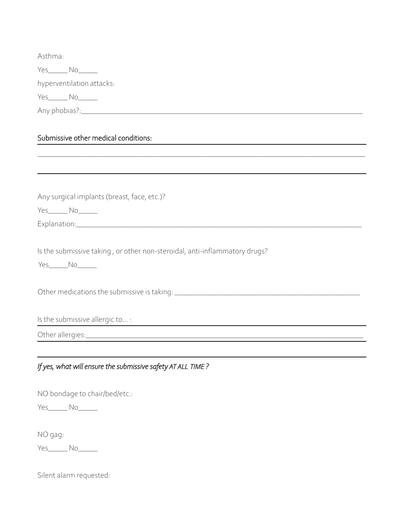Asthma:

Yes\_\_\_\_\_ No\_\_\_\_\_

hyperventilation attacks:

Yes\_\_\_\_\_ No\_\_\_\_\_

Any phobias?:\_\_\_\_\_\_\_\_\_\_\_\_\_\_\_\_\_\_\_\_\_\_\_\_\_\_\_\_\_\_\_\_\_\_\_\_\_\_\_\_\_\_\_\_\_\_\_\_\_\_\_\_\_\_\_\_\_\_\_\_\_\_\_\_\_\_\_\_\_\_\_\_\_

## Submissive other medical conditions:

| Any surgical implants (breast, face, etc.)?                                                     |
|-------------------------------------------------------------------------------------------------|
| Yes______ No______                                                                              |
|                                                                                                 |
| Is the submissive taking, or other non-steroidal, anti-inflammatory drugs?<br>Yes______No______ |
|                                                                                                 |
|                                                                                                 |
| Is the submissive allergic to :                                                                 |
|                                                                                                 |
|                                                                                                 |
| If yes, what will ensure the submissive safety AT ALL TIME?                                     |
| NO bondage to chair/bed/etc.:                                                                   |
| Yes______ No______                                                                              |
| NO gag:                                                                                         |
| Yes______ No_____                                                                               |

Silent alarm requested: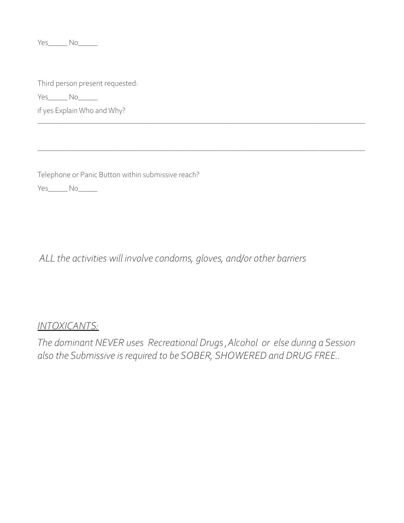Yes\_\_\_\_\_\_ No\_\_\_\_\_\_

Third person present requested:

Yes\_\_\_\_\_ No\_\_\_\_\_

if yes Explain Who and Why?

Telephone or Panic Button within submissive reach?

Yes\_\_\_\_\_\_ No\_\_\_\_\_\_

 *ALL the activities will involve condoms, gloves, and/or other barriers* 

## *INTOXICANTS:*

*The dominant NEVER uses Recreational Drugs ,Alcohol or else during a Session also the Submissive is required to be SOBER, SHOWERED and DRUG FREE..* 

\_\_\_\_\_\_\_\_\_\_\_\_\_\_\_\_\_\_\_\_\_\_\_\_\_\_\_\_\_\_\_\_\_\_\_\_\_\_\_\_\_\_\_\_\_\_\_\_\_\_\_\_\_\_\_\_\_\_\_\_\_\_\_\_\_\_\_\_\_\_\_\_\_\_\_\_\_\_\_\_\_\_\_\_\_

\_\_\_\_\_\_\_\_\_\_\_\_\_\_\_\_\_\_\_\_\_\_\_\_\_\_\_\_\_\_\_\_\_\_\_\_\_\_\_\_\_\_\_\_\_\_\_\_\_\_\_\_\_\_\_\_\_\_\_\_\_\_\_\_\_\_\_\_\_\_\_\_\_\_\_\_\_\_\_\_\_\_\_\_\_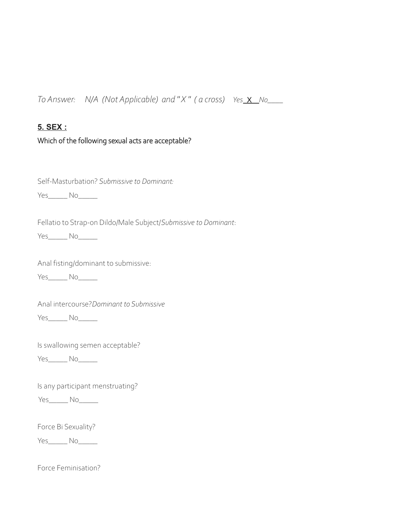*To Answer: N/A (Not Applicable) and " X " ( a cross) Yes* X *No\_\_\_\_*

#### **5. SEX :**

#### Which of the following sexual acts are acceptable?

Self-Masturbation? *Submissive to Dominant:*

Yes\_\_\_\_\_ No\_\_\_\_\_

Fellatio to Strap-on Dildo/Male Subject/*Submissive to Dominant*:

Yes\_\_\_\_\_ No\_\_\_\_\_

Anal fisting/dominant to submissive:

Yes<sup>No</sup>

Anal intercourse?*Dominant to Submissive*

Yes\_\_\_\_\_ No\_\_\_\_\_

Is swallowing semen acceptable?

Yes\_\_\_\_\_\_ No\_\_\_\_\_\_

Is any participant menstruating?

Yes\_\_\_\_\_\_ No\_\_\_\_\_\_

Force Bi Sexuality?

Yes\_\_\_\_\_\_ No\_\_\_\_\_\_

Force Feminisation?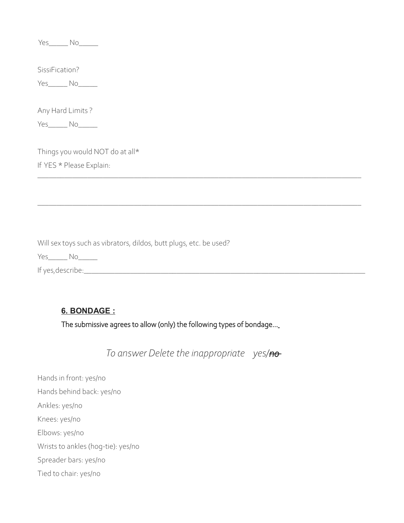Yes\_\_\_\_\_\_ No\_\_\_\_\_\_

SissiFication?

Yes\_\_\_\_\_\_ No\_\_\_\_\_\_

Any Hard Limits ?

Yes\_\_\_\_\_\_ No\_\_\_\_\_\_

Things you would NOT do at all\* If YES \* Please Explain:

Will sex toys such as vibrators, dildos, butt plugs, etc. be used?

Yes\_\_\_\_\_\_ No\_\_\_\_\_\_

If yes,describe:\_\_\_\_\_\_\_\_\_\_\_\_\_\_\_\_\_\_\_\_\_\_\_\_\_\_\_\_\_\_\_\_\_\_\_\_\_\_\_\_\_\_\_\_\_\_\_\_\_\_\_\_\_\_\_\_\_\_\_\_\_\_\_\_\_\_\_\_\_\_\_\_\_

### **6. BONDAGE :**

The submissive agrees to allow (only) the following types of bondage...

 *To answer Delete the inappropriate yes/no* 

\_\_\_\_\_\_\_\_\_\_\_\_\_\_\_\_\_\_\_\_\_\_\_\_\_\_\_\_\_\_\_\_\_\_\_\_\_\_\_\_\_\_\_\_\_\_\_\_\_\_\_\_\_\_\_\_\_\_\_\_\_\_\_\_\_\_\_\_\_\_\_\_\_\_\_\_\_\_\_\_\_\_\_\_

\_\_\_\_\_\_\_\_\_\_\_\_\_\_\_\_\_\_\_\_\_\_\_\_\_\_\_\_\_\_\_\_\_\_\_\_\_\_\_\_\_\_\_\_\_\_\_\_\_\_\_\_\_\_\_\_\_\_\_\_\_\_\_\_\_\_\_\_\_\_\_\_\_\_\_\_\_\_\_\_\_\_\_\_

Hands in front: yes/no Hands behind back: yes/no Ankles: yes/no Knees: yes/no Elbows: yes/no Wrists to ankles (hog-tie): yes/no Spreader bars: yes/no Tied to chair: yes/no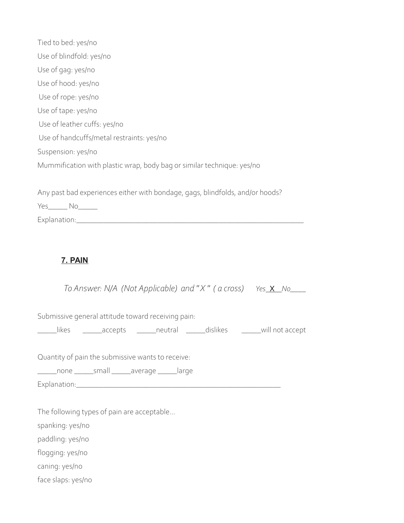| Tied to bed: yes/no                                                           |
|-------------------------------------------------------------------------------|
| Use of blindfold: yes/no                                                      |
| Use of gag: yes/no                                                            |
| Use of hood: yes/no                                                           |
| Use of rope: yes/no                                                           |
| Use of tape: yes/no                                                           |
| Use of leather cuffs: yes/no                                                  |
| Use of handcuffs/metal restraints: yes/no                                     |
| Suspension: yes/no                                                            |
| Mummification with plastic wrap, body bag or similar technique: yes/no        |
|                                                                               |
| Any past bad experiences either with bondage, gags, blindfolds, and/or hoods? |

Yes\_\_\_\_\_ No\_\_\_\_\_

Explanation:\_\_\_\_\_\_\_\_\_\_\_\_\_\_\_\_\_\_\_\_\_\_\_\_\_\_\_\_\_\_\_\_\_\_\_\_\_\_\_\_\_\_\_\_\_\_\_\_\_\_\_\_\_\_\_\_\_\_\_

## **7. PAIN**

| To Answer: N/A (Not Applicable) and "X" (a cross) Yes X No                    |
|-------------------------------------------------------------------------------|
| Submissive general attitude toward receiving pain:                            |
| _____likes _______accepts ______neutral ______dislikes _______will not accept |
| Quantity of pain the submissive wants to receive:                             |
| ______none _______small _______ average _______large                          |
|                                                                               |
|                                                                               |
| The following types of pain are acceptable                                    |
| spanking: yes/no                                                              |
| paddling: yes/no                                                              |
| flogging: yes/no                                                              |
| caning: yes/no                                                                |
|                                                                               |

face slaps: yes/no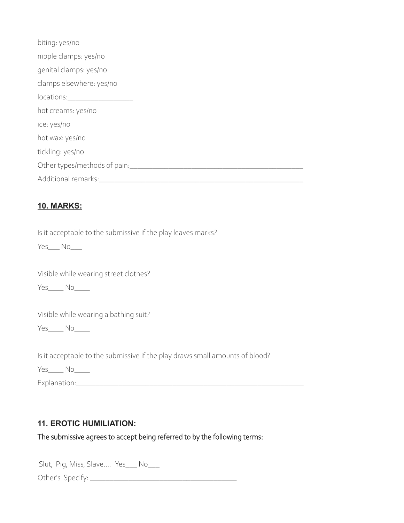| biting: yes/no                                                                                                                                                                                                                 |
|--------------------------------------------------------------------------------------------------------------------------------------------------------------------------------------------------------------------------------|
| nipple clamps: yes/no                                                                                                                                                                                                          |
| genital clamps: yes/no                                                                                                                                                                                                         |
| clamps elsewhere: yes/no                                                                                                                                                                                                       |
| locations: and the state of the state of the state of the state of the state of the state of the state of the state of the state of the state of the state of the state of the state of the state of the state of the state of |
| hot creams: yes/no                                                                                                                                                                                                             |
| ice: yes/no                                                                                                                                                                                                                    |
| hot wax: yes/no                                                                                                                                                                                                                |
| tickling: yes/no                                                                                                                                                                                                               |
| Other types/methods of pain:                                                                                                                                                                                                   |
| Additional remarks:                                                                                                                                                                                                            |

#### **10. MARKS:**

Is it acceptable to the submissive if the play leaves marks?

Yes\_\_\_ No\_\_\_

Visible while wearing street clothes?

 $Yes$   $No$   $\qquad$ 

Visible while wearing a bathing suit?

Yes\_\_\_\_ No\_\_\_\_

Is it acceptable to the submissive if the play draws small amounts of blood?

Yes\_\_\_\_\_ No\_\_\_\_\_

Explanation:\_\_\_\_\_\_\_\_\_\_\_\_\_\_\_\_\_\_\_\_\_\_\_\_\_\_\_\_\_\_\_\_\_\_\_\_\_\_\_\_\_\_\_\_\_\_\_\_\_\_\_\_\_\_\_\_\_\_\_

## **11. EROTIC HUMILIATION:**

The submissive agrees to accept being referred to by the following terms:

Slut, Pig, Miss, Slave.... Yes\_\_\_ No\_\_\_

Other's Specify: \_\_\_\_\_\_\_\_\_\_\_\_\_\_\_\_\_\_\_\_\_\_\_\_\_\_\_\_\_\_\_\_\_\_\_\_\_\_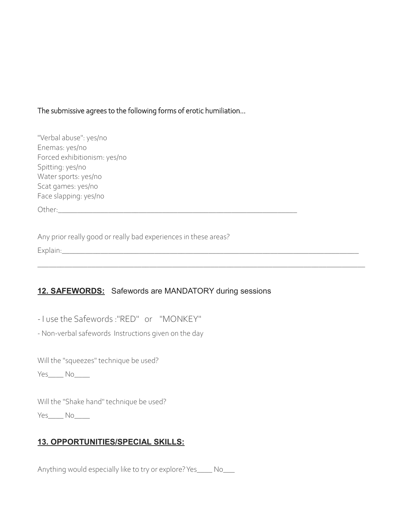#### The submissive agrees to the following forms of erotic humiliation...

| "Verbal abuse": yes/no       |
|------------------------------|
| Enemas: yes/no               |
| Forced exhibitionism: yes/no |
| Spitting: yes/no             |
| Water sports: yes/no         |
| Scat games: yes/no           |
| Face slapping: yes/no        |
|                              |

Other:\_\_\_\_\_\_\_\_\_\_\_\_\_\_\_\_\_\_\_\_\_\_\_\_\_\_\_\_\_\_\_\_\_\_\_\_\_\_\_\_\_\_\_\_\_\_\_\_\_\_\_\_\_\_\_\_\_\_\_\_\_\_

Any prior really good or really bad experiences in these areas?

Explain:\_\_\_\_\_\_\_\_\_\_\_\_\_\_\_\_\_\_\_\_\_\_\_\_\_\_\_\_\_\_\_\_\_\_\_\_\_\_\_\_\_\_\_\_\_\_\_\_\_\_\_\_\_\_\_\_\_\_\_\_\_\_\_\_\_\_\_\_\_\_\_\_\_\_\_\_\_

#### **12. SAFEWORDS:** Safewords are MANDATORY during sessions

\_\_\_\_\_\_\_\_\_\_\_\_\_\_\_\_\_\_\_\_\_\_\_\_\_\_\_\_\_\_\_\_\_\_\_\_\_\_\_\_\_\_\_\_\_\_\_\_\_\_\_\_\_\_\_\_\_\_\_\_\_\_\_\_\_\_\_\_\_\_\_\_\_\_\_\_\_\_\_\_\_\_\_\_\_

*-* I use the Safewords :"RED" or "MONKEY"

- Non-verbal safewords Instructions given on the day

Will the "squeezes" technique be used?

Yes\_\_\_\_ No

Will the "Shake hand" technique be used?

Yes\_\_\_\_\_ No\_\_\_\_\_

#### **13. OPPORTUNITIES/SPECIAL SKILLS:**

Anything would especially like to try or explore? Yes\_\_\_\_ No\_\_\_